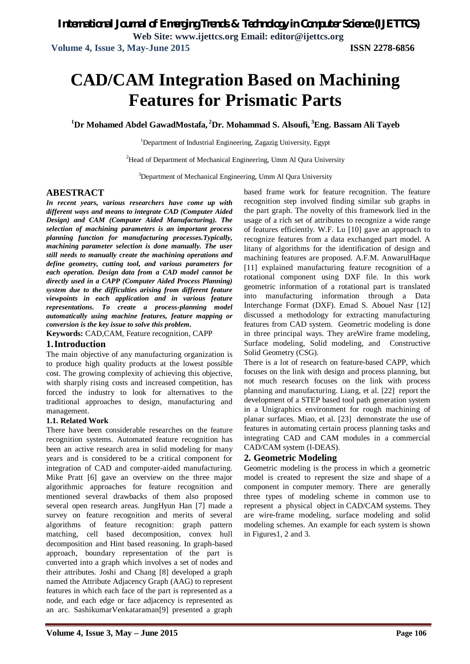# **CAD/CAM Integration Based on Machining Features for Prismatic Parts**

**<sup>1</sup>Dr Mohamed Abdel GawadMostafa, <sup>2</sup>Dr. Mohammad S. Alsoufi, <sup>3</sup>Eng. Bassam Ali Tayeb**

<sup>1</sup>Department of Industrial Engineering, Zagazig University, Egypt

<sup>2</sup>Head of Department of Mechanical Engineering, Umm Al Qura University

 $3$ Department of Mechanical Engineering, Umm Al Qura University

### **ABESTRACT**

*In recent years, various researchers have come up with different ways and means to integrate CAD (Computer Aided Design) and CAM (Computer Aided Manufacturing). The selection of machining parameters is an important process planning function for manufacturing processes.Typically, machining parameter selection is done manually. The user still needs to manually create the machining operations and define geometry, cutting tool, and various parameters for each operation. Design data from a CAD model cannot be directly used in a CAPP (Computer Aided Process Planning) system due to the difficulties arising from different feature viewpoints in each application and in various feature representations. To create a process-planning model automatically using machine features, feature mapping or conversion is the key issue to solve this problem.*

**Keywords:** CAD,CAM, Feature recognition, CAPP

### **1.Introduction**

The main objective of any manufacturing organization is to produce high quality products at the lowest possible cost. The growing complexity of achieving this objective, with sharply rising costs and increased competition, has forced the industry to look for alternatives to the traditional approaches to design, manufacturing and management.

### **1.1. Related Work**

There have been considerable researches on the feature recognition systems. Automated feature recognition has been an active research area in solid modeling for many years and is considered to be a critical component for integration of CAD and computer-aided manufacturing. Mike Pratt [6] gave an overview on the three major algorithmic approaches for feature recognition and mentioned several drawbacks of them also proposed several open research areas. JungHyun Han [7] made a survey on feature recognition and merits of several algorithms of feature recognition: graph pattern matching, cell based decomposition, convex hull decomposition and Hint based reasoning. In graph-based approach, boundary representation of the part is converted into a graph which involves a set of nodes and their attributes. Joshi and Chang [8] developed a graph named the Attribute Adjacency Graph (AAG) to represent features in which each face of the part is represented as a node, and each edge or face adjacency is represented as an arc. SashikumarVenkataraman[9] presented a graph based frame work for feature recognition. The feature recognition step involved finding similar sub graphs in the part graph. The novelty of this framework lied in the usage of a rich set of attributes to recognize a wide range of features efficiently. W.F. Lu [10] gave an approach to recognize features from a data exchanged part model. A litany of algorithms for the identification of design and machining features are proposed. A.F.M. AnwarulHaque [11] explained manufacturing feature recognition of a rotational component using DXF file. In this work geometric information of a rotational part is translated into manufacturing information through a Data Interchange Format (DXF). Emad S. Abouel Nasr [12] discussed a methodology for extracting manufacturing features from CAD system. Geometric modeling is done in three principal ways. They areWire frame modeling, Surface modeling, Solid modeling, and Constructive Solid Geometry (CSG).

There is a lot of research on feature-based CAPP, which focuses on the link with design and process planning, but not much research focuses on the link with process planning and manufacturing. Liang, et al. [22] report the development of a STEP based tool path generation system in a Unigraphics environment for rough machining of planar surfaces. Miao, et al. [23] demonstrate the use of features in automating certain process planning tasks and integrating CAD and CAM modules in a commercial CAD/CAM system (I-DEAS).

### **2. Geometric Modeling**

Geometric modeling is the process in which a geometric model is created to represent the size and shape of a component in computer memory. There are generally three types of modeling scheme in common use to represent a physical object in CAD/CAM systems. They are wire-frame modeling, surface modeling and solid modeling schemes. An example for each system is shown in Figures1, 2 and 3.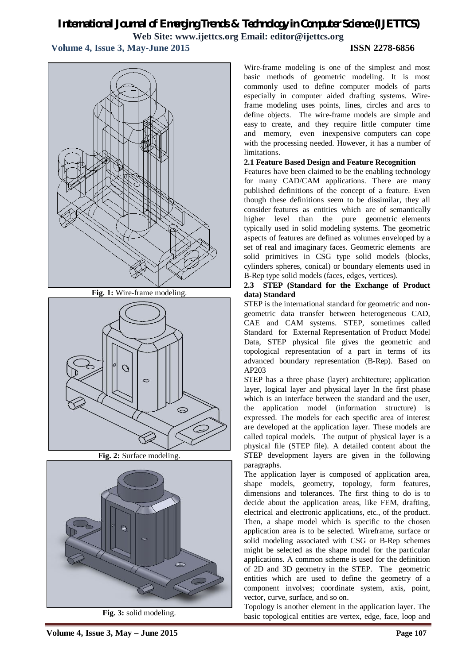# *International Journal of Emerging Trends & Technology in Computer Science (IJETTCS)* **Web Site: www.ijettcs.org Email: editor@ijettcs.org Volume 4, Issue 3, May-June 2015 ISSN 2278-6856**



**Fig. 1:** Wire-frame modeling.



**Fig. 2:** Surface modeling.



**Fig. 3:** solid modeling.

Wire-frame modeling is one of the simplest and most basic methods of geometric modeling. It is most commonly used to define computer models of parts especially in computer aided drafting systems. Wireframe modeling uses points, lines, circles and arcs to define objects. The wire-frame models are simple and easy to create, and they require little computer time and memory, even inexpensive computers can cope with the processing needed. However, it has a number of limitations.

#### **2.1 Feature Based Design and Feature Recognition**

Features have been claimed to be the enabling technology for many CAD/CAM applications. There are many published definitions of the concept of a feature. Even though these definitions seem to be dissimilar, they all consider features as entities which are of semantically higher level than the pure geometric elements typically used in solid modeling systems. The geometric aspects of features are defined as volumes enveloped by a set of real and imaginary faces. Geometric elements are solid primitives in CSG type solid models (blocks, cylinders spheres, conical) or boundary elements used in B-Rep type solid models (faces, edges, vertices).

#### **2.3 STEP (Standard for the Exchange of Product data) Standard**

STEP is the international standard for geometric and nongeometric data transfer between heterogeneous CAD, CAE and CAM systems. STEP, sometimes called Standard for External Representation of Product Model Data, STEP physical file gives the geometric and topological representation of a part in terms of its advanced boundary representation (B-Rep). Based on AP203

STEP has a three phase (layer) architecture; application layer, logical layer and physical layer In the first phase which is an interface between the standard and the user, the application model (information structure) is expressed. The models for each specific area of interest are developed at the application layer. These models are called topical models. The output of physical layer is a physical file (STEP file). A detailed content about the STEP development layers are given in the following paragraphs.

The application layer is composed of application area, shape models, geometry, topology, form features, dimensions and tolerances. The first thing to do is to decide about the application areas, like FEM, drafting, electrical and electronic applications, etc., of the product. Then, a shape model which is specific to the chosen application area is to be selected. Wireframe, surface or solid modeling associated with CSG or B-Rep schemes might be selected as the shape model for the particular applications. A common scheme is used for the definition of 2D and 3D geometry in the STEP. The geometric entities which are used to define the geometry of a component involves; coordinate system, axis, point, vector, curve, surface, and so on.

Topology is another element in the application layer. The basic topological entities are vertex, edge, face, loop and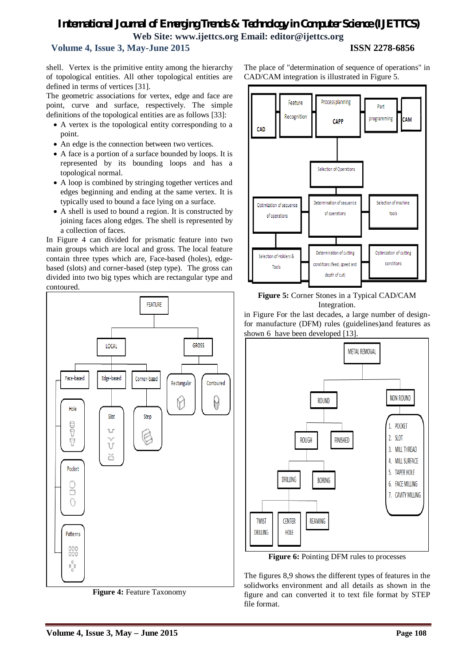# *International Journal of Emerging Trends & Technology in Computer Science (IJETTCS)* **Web Site: www.ijettcs.org Email: editor@ijettcs.org**

# **Volume 4, Issue 3, May-June 2015 ISSN 2278-6856**

shell. Vertex is the primitive entity among the hierarchy of topological entities. All other topological entities are defined in terms of vertices [31].

The geometric associations for vertex, edge and face are point, curve and surface, respectively. The simple definitions of the topological entities are as follows [33]:

- A vertex is the topological entity corresponding to a point.
- An edge is the connection between two vertices.
- A face is a portion of a surface bounded by loops. It is represented by its bounding loops and has a topological normal.
- A loop is combined by stringing together vertices and edges beginning and ending at the same vertex. It is typically used to bound a face lying on a surface.
- A shell is used to bound a region. It is constructed by joining faces along edges. The shell is represented by a collection of faces.

In Figure 4 can divided for prismatic feature into two main groups which are local and gross. The local feature contain three types which are, Face-based (holes), edgebased (slots) and corner-based (step type). The gross can divided into two big types which are rectangular type and contoured.



**Figure 4:** Feature Taxonomy

The place of "determination of sequence of operations" in CAD/CAM integration is illustrated in Figure 5.





in Figure For the last decades, a large number of designfor manufacture (DFM) rules (guidelines)and features as shown 6 have been developed [13].



**Figure 6:** Pointing DFM rules to processes

The figures 8,9 shows the different types of features in the solidworks environment and all details as shown in the figure and can converted it to text file format by STEP file format.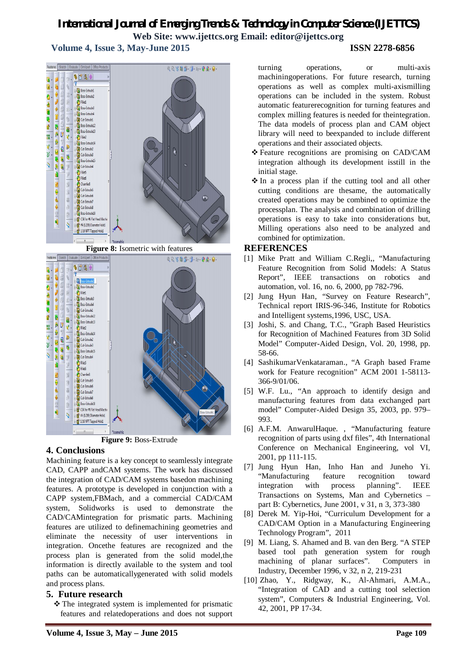# *International Journal of Emerging Trends & Technology in Computer Science (IJETTCS)* **Web Site: www.ijettcs.org Email: editor@ijettcs.org**

 **Volume 4, Issue 3, May-June 2015 ISSN 2278-6856**



**Figure 9:** Boss-Extrude

# **4. Conclusions**

Machining feature is a key concept to seamlessly integrate CAD, CAPP andCAM systems. The work has discussed the integration of CAD/CAM systems basedon machining features. A prototype is developed in conjunction with a CAPP system,FBMach, and a commercial CAD/CAM system, Solidworks is used to demonstrate the CAD/CAMintegration for prismatic parts. Machining features are utilized to definemachining geometries and eliminate the necessity of user interventions in integration. Oncethe features are recognized and the process plan is generated from the solid model,the information is directly available to the system and tool paths can be automaticallygenerated with solid models and process plans.

## **5. Future research**

 $\triangle$  The integrated system is implemented for prismatic features and relatedoperations and does not support turning operations, or multi-axis machiningoperations. For future research, turning operations as well as complex multi-axismilling operations can be included in the system. Robust automatic featurerecognition for turning features and complex milling features is needed for theintegration. The data models of process plan and CAM object library will need to beexpanded to include different operations and their associated objects.

- Feature recognitions are promising on CAD/CAM integration although its development isstill in the initial stage.
- $\hat{\mathbf{v}}$  In a process plan if the cutting tool and all other cutting conditions are thesame, the automatically created operations may be combined to optimize the processplan. The analysis and combination of drilling operations is easy to take into considerations but, Milling operations also need to be analyzed and combined for optimization.

## **REFERENCES**

- [1] Mike Pratt and William C.Regli,, "Manufacturing Feature Recognition from Solid Models: A Status Report", IEEE transactions on robotics and automation, vol. 16, no. 6, 2000, pp 782-796.
- [2] Jung Hyun Han, "Survey on Feature Research", Technical report IRIS-96-346, Institute for Robotics and Intelligent systems,1996, USC, USA.
- [3] Joshi, S. and Chang, T.C., "Graph Based Heuristics for Recognition of Machined Features from 3D Solid Model" Computer-Aided Design, Vol. 20, 1998, pp. 58-66.
- [4] SashikumarVenkataraman., "A Graph based Frame work for Feature recognition" ACM 2001 1-58113- 366-9/01/06.
- [5] W.F. Lu., "An approach to identify design and manufacturing features from data exchanged part model" Computer-Aided Design 35, 2003, pp. 979– 993.
- [6] A.F.M. AnwarulHaque. , "Manufacturing feature recognition of parts using dxf files", 4th International Conference on Mechanical Engineering, vol VI, 2001, pp 111-115.
- [7] Jung Hyun Han, Inho Han and Juneho Yi. "Manufacturing feature recognition toward integration with process planning". IEEE Transactions on Systems, Man and Cybernetics – part B: Cybernetics, June 2001, v 31, n 3, 373-380
- [8] Derek M. Yip-Hoi, "Curriculum Development for a CAD/CAM Option in a Manufacturing Engineering Technology Program", 2011
- [9] M. Liang, S. Ahamed and B. van den Berg. "A STEP based tool path generation system for rough machining of planar surfaces". Computers in Industry, December 1996, v 32, n 2, 219-231
- [10] Zhao, Y., Ridgway, K., Al-Ahmari, A.M.A., "Integration of CAD and a cutting tool selection system", Computers & Industrial Engineering, Vol. 42, 2001, PP 17-34.